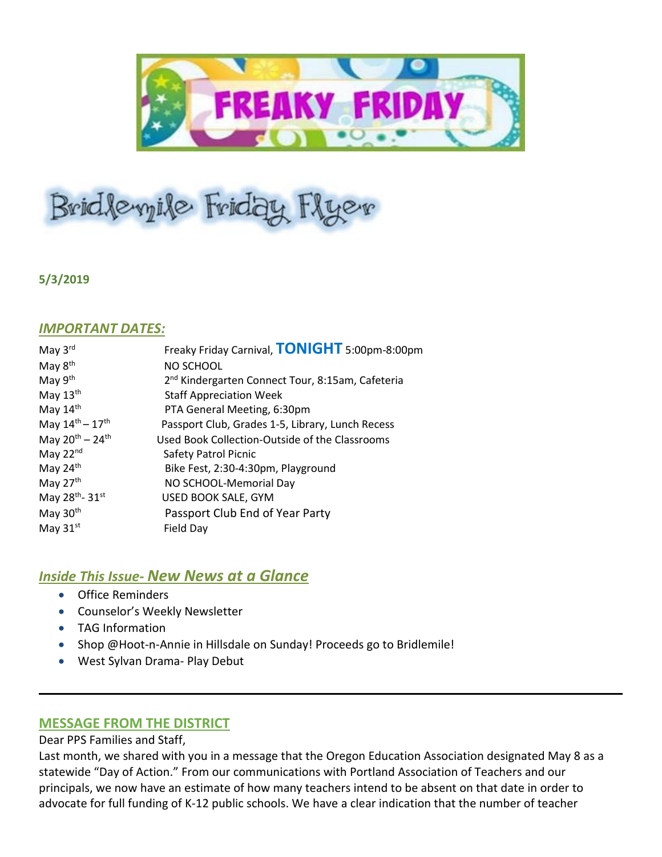

# Bridlevyile Friday Flyer

## **5/3/2019**

## *IMPORTANT DATES:*

| May 3rd                     | Freaky Friday Carnival, TONIGHT 5:00pm-8:00pm                |
|-----------------------------|--------------------------------------------------------------|
| May 8 <sup>th</sup>         | NO SCHOOL                                                    |
| May 9 <sup>th</sup>         | 2 <sup>nd</sup> Kindergarten Connect Tour, 8:15am, Cafeteria |
| May 13th                    | <b>Staff Appreciation Week</b>                               |
| May $14th$                  | PTA General Meeting, 6:30pm                                  |
| May $14^{th} - 17^{th}$     | Passport Club, Grades 1-5, Library, Lunch Recess             |
| May $20^{th} - 24^{th}$     | Used Book Collection-Outside of the Classrooms               |
| May $22nd$                  | Safety Patrol Picnic                                         |
| May 24th                    | Bike Fest, 2:30-4:30pm, Playground                           |
| May 27th                    | NO SCHOOL-Memorial Day                                       |
| May 28 <sup>th</sup> - 31st | USED BOOK SALE, GYM                                          |
| May 30 <sup>th</sup>        | Passport Club End of Year Party                              |
| May $31st$                  | Field Day                                                    |
|                             |                                                              |

# *Inside This Issue- New News at a Glance*

- Office Reminders
- Counselor's Weekly Newsletter
- TAG Information
- Shop @Hoot-n-Annie in Hillsdale on Sunday! Proceeds go to Bridlemile!
- West Sylvan Drama- Play Debut

## **MESSAGE FROM THE DISTRICT**

Dear PPS Families and Staff,

Last month, we shared with you in a message that the Oregon Education Association designated May 8 as a statewide "Day of Action." From our communications with Portland Association of Teachers and our principals, we now have an estimate of how many teachers intend to be absent on that date in order to advocate for full funding of K-12 public schools. We have a clear indication that the number of teacher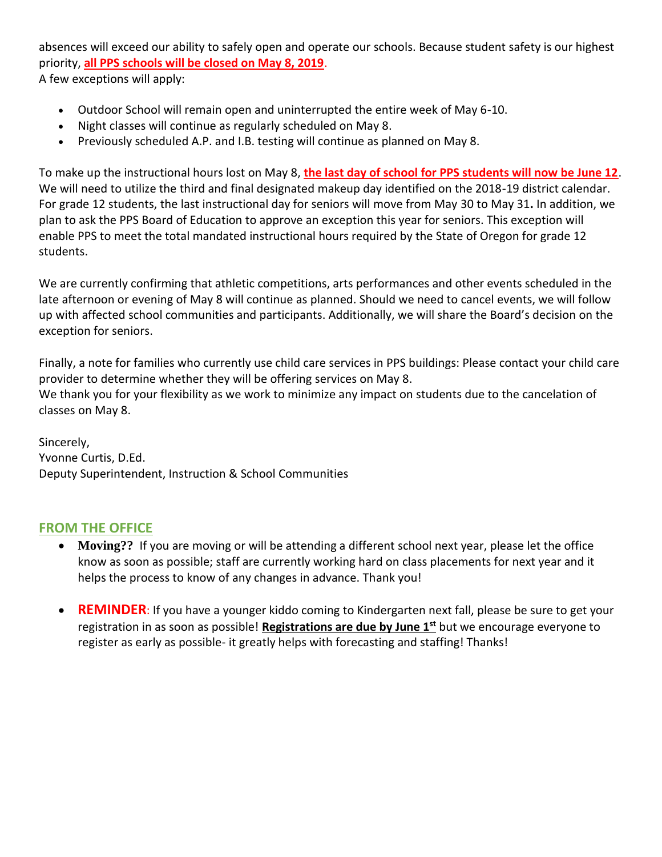absences will exceed our ability to safely open and operate our schools. Because student safety is our highest priority, **all PPS schools will be closed on May 8, 2019**. A few exceptions will apply:

- Outdoor School will remain open and uninterrupted the entire week of May 6-10.
- Night classes will continue as regularly scheduled on May 8.
- Previously scheduled A.P. and I.B. testing will continue as planned on May 8.

To make up the instructional hours lost on May 8, **the last day of school for PPS students will now be June 12**. We will need to utilize the third and final designated makeup day identified on the 2018-19 district calendar. For grade 12 students, the last instructional day for seniors will move from May 30 to May 31**.** In addition, we plan to ask the PPS Board of Education to approve an exception this year for seniors. This exception will enable PPS to meet the total mandated instructional hours required by the State of Oregon for grade 12 students.

We are currently confirming that athletic competitions, arts performances and other events scheduled in the late afternoon or evening of May 8 will continue as planned. Should we need to cancel events, we will follow up with affected school communities and participants. Additionally, we will share the Board's decision on the exception for seniors.

Finally, a note for families who currently use child care services in PPS buildings: Please contact your child care provider to determine whether they will be offering services on May 8. We thank you for your flexibility as we work to minimize any impact on students due to the cancelation of classes on May 8.

Sincerely, Yvonne Curtis, D.Ed. Deputy Superintendent, Instruction & School Communities

## **FROM THE OFFICE**

- **Moving??** If you are moving or will be attending a different school next year, please let the office know as soon as possible; staff are currently working hard on class placements for next year and it helps the process to know of any changes in advance. Thank you!
- **REMINDER:** If you have a younger kiddo coming to Kindergarten next fall, please be sure to get your registration in as soon as possible! **Registrations are due by June 1st** but we encourage everyone to register as early as possible- it greatly helps with forecasting and staffing! Thanks!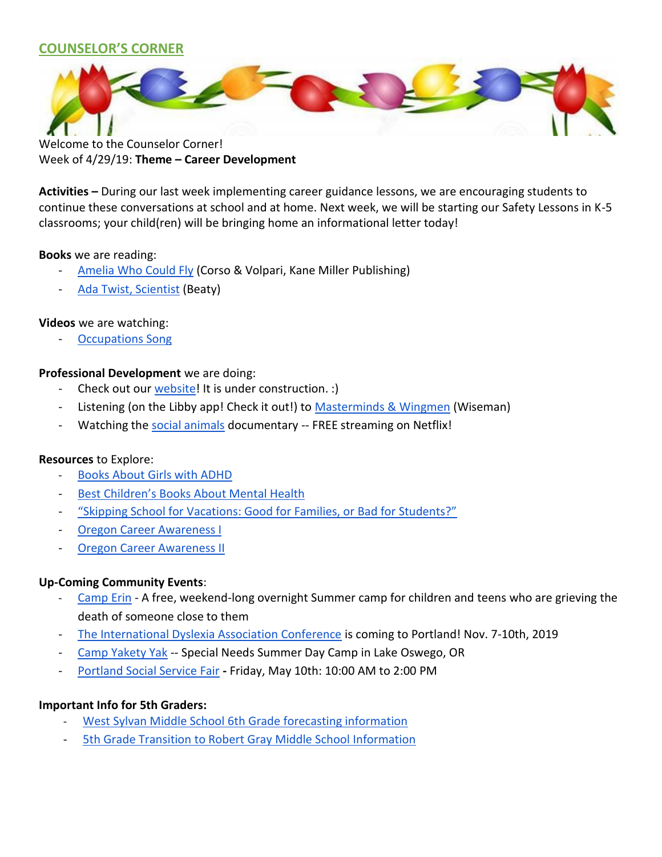## **COUNSELOR'S CORNER**



Welcome to the Counselor Corner! Week of 4/29/19: **Theme – Career Development**

**Activities –** During our last week implementing career guidance lessons, we are encouraging students to continue these conversations at school and at home. Next week, we will be starting our Safety Lessons in K-5 classrooms; your child(ren) will be bringing home an informational letter today!

## **Books** we are reading:

- **[Amelia Who Could Fly](https://a4291.myubam.com/p/5981/amelia-who-could-fly) (Corso & Volpari, Kane Miller Publishing)**
- [Ada Twist, Scientist](https://www.amazon.com/Ada-Twist-Scientist-Andrea-Beaty/dp/1419721372/ref=sr_1_1?crid=5OPLVM1VJ5RH&keywords=ada+twist+scientist&qid=1555346719&s=gateway&sprefix=ada+twist%2Caps%2C218&sr=8-1) (Beaty)

## **Videos** we are watching:

**[Occupations Song](https://www.youtube.com/watch?v=BOv4EnaeM9w)** 

## **Professional Development** we are doing:

- Check out our [website!](https://sites.google.com/apps4pps.net/bridlemile-counselor-corner/home?authuser=0) It is under construction. :)
- Listening (on the Libby app! Check it out!) to [Masterminds & Wingmen](https://www.amazon.com/Masterminds-Wingmen-Schoolyard-Locker-Room-Girlfriends/dp/0307986659/ref=sr_1_1?crid=3K50TCP6FNTFV&keywords=masterminds+and+wingmen%2C%22+by+rosalind+wiseman&qid=1554744911&s=gateway&sprefix=masterminds%2Caps%2C183&sr=8-1) (Wiseman)
- Watching the [social animals](https://www.imdb.com/title/tt7969042/) documentary -- FREE streaming on Netflix!

## **Resources** to Explore:

- [Books About Girls with ADHD](https://childmind.org/article/books-about-girls-with-adhd/?fbclid=IwAR10Hiq6LHKD3W8vR09m04CuX5PHQTPvp35-l9cHd-EYDaktP1bYoOq2Bog)
- [Best Children's Books About Mental Health](https://childmind.org/article/best-childrens-books-about-mental-health/?utm_source=newsletter&utm_medium=email&utm_content=READ%20MORE&utm_campaign=Weekly-04-16-19)
- ["Skipping School for Vacations: Good for Families, or Bad for Students?"](https://parenting.blogs.nytimes.com/2015/01/15/skipping-school-for-vacation-good-for-families-or-bad-for-students/)
- **[Oregon Career Awareness I](https://www.qualityinfo.org/documents/10182/33976/Oregon+Career+Aware+I?version=1.1)**
- **[Oregon Career Awareness II](https://www.qualityinfo.org/documents/10182/33976/Oregon+Career+Aware+I?version=1.1)**

## **Up-Coming Community Events**:

- [Camp Erin](https://oregon.providence.org/our-services/c/camp-erin/) A free, weekend-long overnight Summer camp for children and teens who are grieving the death of someone close to them
- [The International Dyslexia Association Conference](https://www.eiseverywhere.com/website/887/home/) is coming to Portland! Nov. 7-10th, 2019
- [Camp Yakety Yak](http://www.campyaketyyak.org/) -- Special Needs Summer Day Camp in Lake Oswego, OR
- [Portland Social Service Fair](https://www.csnpdx.org/social-service-fairs/dates) **-** Friday, May 10th: 10:00 AM to 2:00 PM

## **Important Info for 5th Graders:**

- [West Sylvan Middle School 6th Grade forecasting information](https://www.pps.net/westsylvan)
- [5th Grade Transition to Robert Gray Middle School Information](https://pdf.snapandread.com/viewer.html?url=https%3A%2F%2Fwww.pps.net%2Fcms%2Flib%2FOR01913224%2FCentricity%2FDomain%2F120%2FSchool%2520Tours%25202019-20.pdf)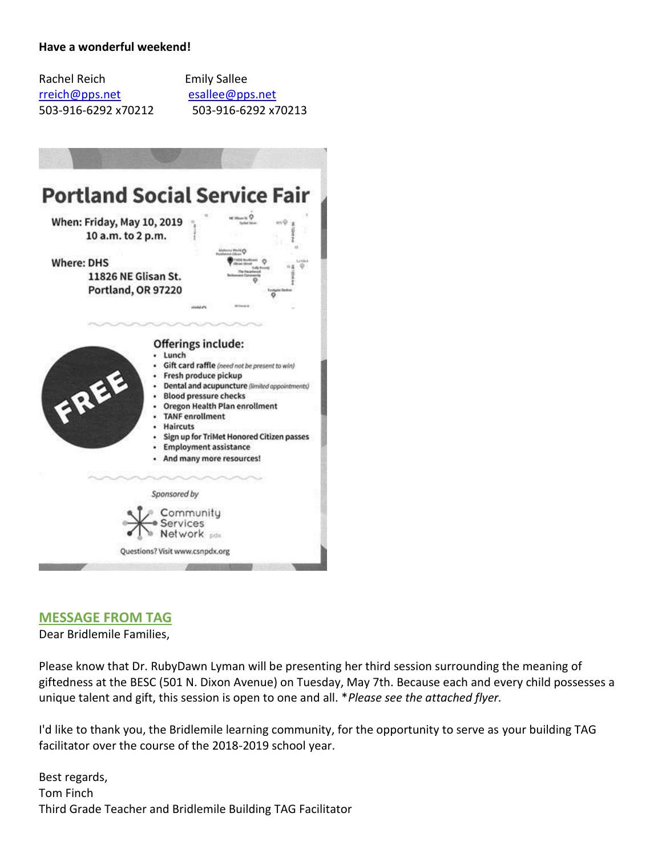## **Have a wonderful weekend!**

| Rachel Reich        |  |
|---------------------|--|
| rreich@pps.net      |  |
| 503-916-6292 x70212 |  |

**Emily Sallee** [esallee@pps.net](mailto:esallee@pps.net) 503-916-6292 x70213



## **MESSAGE FROM TAG**

Dear Bridlemile Families,

Please know that Dr. RubyDawn Lyman will be presenting her third session surrounding the meaning of giftedness at the BESC (501 N. Dixon Avenue) on Tuesday, May 7th. Because each and every child possesses a unique talent and gift, this session is open to one and all. \**Please see the attached flyer.*

I'd like to thank you, the Bridlemile learning community, for the opportunity to serve as your building TAG facilitator over the course of the 2018-2019 school year.

Best regards, Tom Finch Third Grade Teacher and Bridlemile Building TAG Facilitator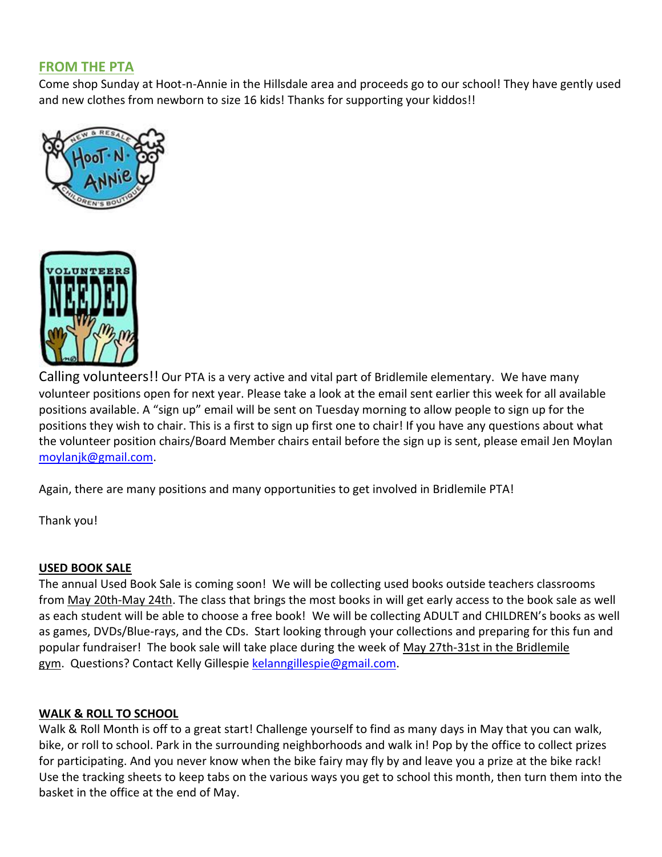## **FROM THE PTA**

Come shop Sunday at Hoot-n-Annie in the Hillsdale area and proceeds go to our school! They have gently used and new clothes from newborn to size 16 kids! Thanks for supporting your kiddos!!





Calling volunteers!! Our PTA is a very active and vital part of Bridlemile elementary. We have many volunteer positions open for next year. Please take a look at the email sent earlier this week for all available positions available. A "sign up" email will be sent on Tuesday morning to allow people to sign up for the positions they wish to chair. This is a first to sign up first one to chair! If you have any questions about what the volunteer position chairs/Board Member chairs entail before the sign up is sent, please email Jen Moylan [moylanjk@gmail.com.](mailto:moylanjk@gmail.com)

Again, there are many positions and many opportunities to get involved in Bridlemile PTA!

Thank you!

## **USED BOOK SALE**

The annual Used Book Sale is coming soon! We will be collecting used books outside teachers classrooms from May 20th-May 24th. The class that brings the most books in will get early access to the book sale as well as each student will be able to choose a free book! We will be collecting ADULT and CHILDREN's books as well as games, DVDs/Blue-rays, and the CDs. Start looking through your collections and preparing for this fun and popular fundraiser! The book sale will take place during the week of May 27th-31st in the Bridlemile gym. Questions? Contact Kelly Gillespie [kelanngillespie@gmail.com.](mailto:kelanngillespie@gmail.com)

## **WALK & ROLL TO SCHOOL**

Walk & Roll Month is off to a great start! Challenge yourself to find as many days in May that you can walk, bike, or roll to school. Park in the surrounding neighborhoods and walk in! Pop by the office to collect prizes for participating. And you never know when the bike fairy may fly by and leave you a prize at the bike rack! Use the tracking sheets to keep tabs on the various ways you get to school this month, then turn them into the basket in the office at the end of May.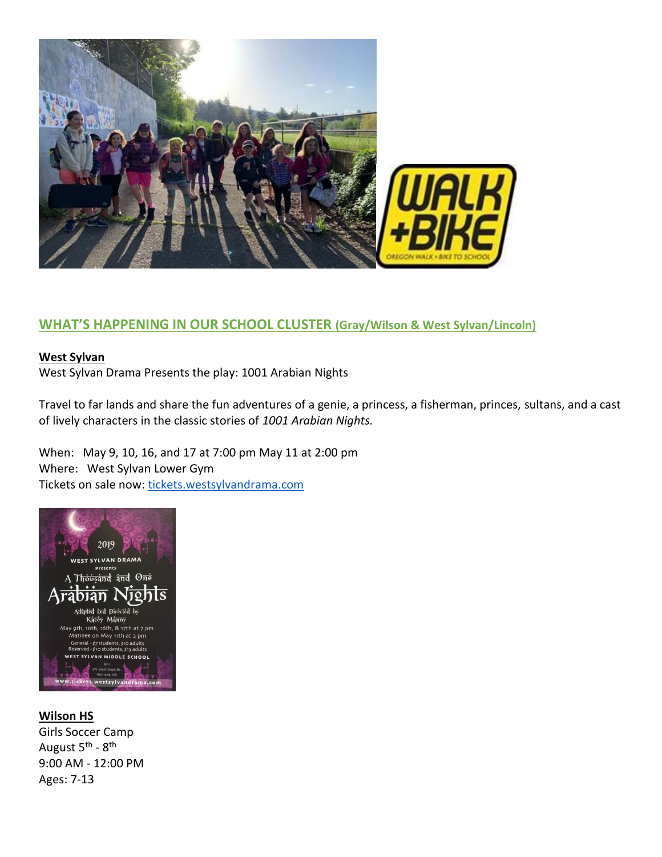

## **WHAT'S HAPPENING IN OUR SCHOOL CLUSTER (Gray/Wilson & West Sylvan/Lincoln)**

## **West Sylvan**

West Sylvan Drama Presents the play: 1001 Arabian Nights

Travel to far lands and share the fun adventures of a genie, a princess, a fisherman, princes, sultans, and a cast of lively characters in the classic stories of *1001 Arabian Nights.*

When: May 9, 10, 16, and 17 at 7:00 pm May 11 at 2:00 pm Where: West Sylvan Lower Gym Tickets on sale now: [tickets.westsylvandrama.com](http://track.spe.schoolmessenger.com/f/a/Qwdi4A1MEMB5yn1o752cEA~~/AAAAAQA~/RgReqGgpP0QjaHR0cDovL3RpY2tldHMud2VzdHN5bHZhbmRyYW1hLmNvbS9XB3NjaG9vbG1CCgAAqTTHXKOP1PxSGUNocmlzdGluYWNyb3VzZUBnbWFpbC5jb21YBAAAAAE~)



## **Wilson HS**

Girls Soccer Camp August 5<sup>th</sup> - 8<sup>th</sup> 9:00 AM - 12:00 PM Ages: 7-13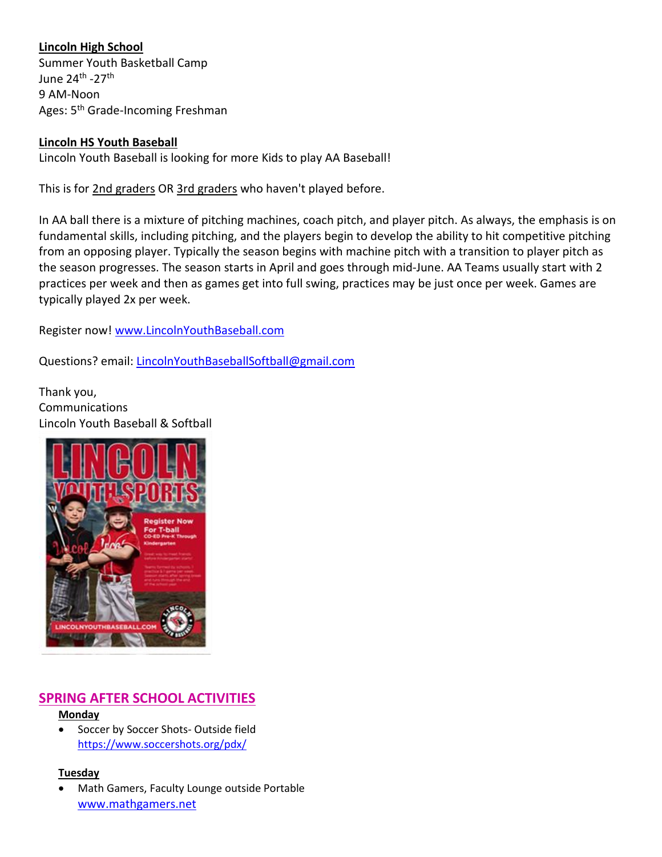## **Lincoln High School**

Summer Youth Basketball Camp June 24<sup>th</sup> -27<sup>th</sup> 9 AM-Noon Ages: 5<sup>th</sup> Grade-Incoming Freshman

## **Lincoln HS Youth Baseball**

Lincoln Youth Baseball is looking for more Kids to play AA Baseball!

This is for 2nd graders OR 3rd graders who haven't played before.

In AA ball there is a mixture of pitching machines, coach pitch, and player pitch. As always, the emphasis is on fundamental skills, including pitching, and the players begin to develop the ability to hit competitive pitching from an opposing player. Typically the season begins with machine pitch with a transition to player pitch as the season progresses. The season starts in April and goes through mid-June. AA Teams usually start with 2 practices per week and then as games get into full swing, practices may be just once per week. Games are typically played 2x per week.

Register now! [www.LincolnYouthBaseball.com](http://www.lincolnyouthbaseball.com/)

Questions? email: [LincolnYouthBaseballSoftball@gmail.com](mailto:LincolnYouthBaseballSoftball@gmail.com)

Thank you, Communications Lincoln Youth Baseball & Softball



# **SPRING AFTER SCHOOL ACTIVITIES**

## **Monday**

 Soccer by Soccer Shots- Outside field <https://www.soccershots.org/pdx/>

## **Tuesday**

 Math Gamers, Faculty Lounge outside Portable [www.mathgamers.net](http://www.mathgamers.net/)